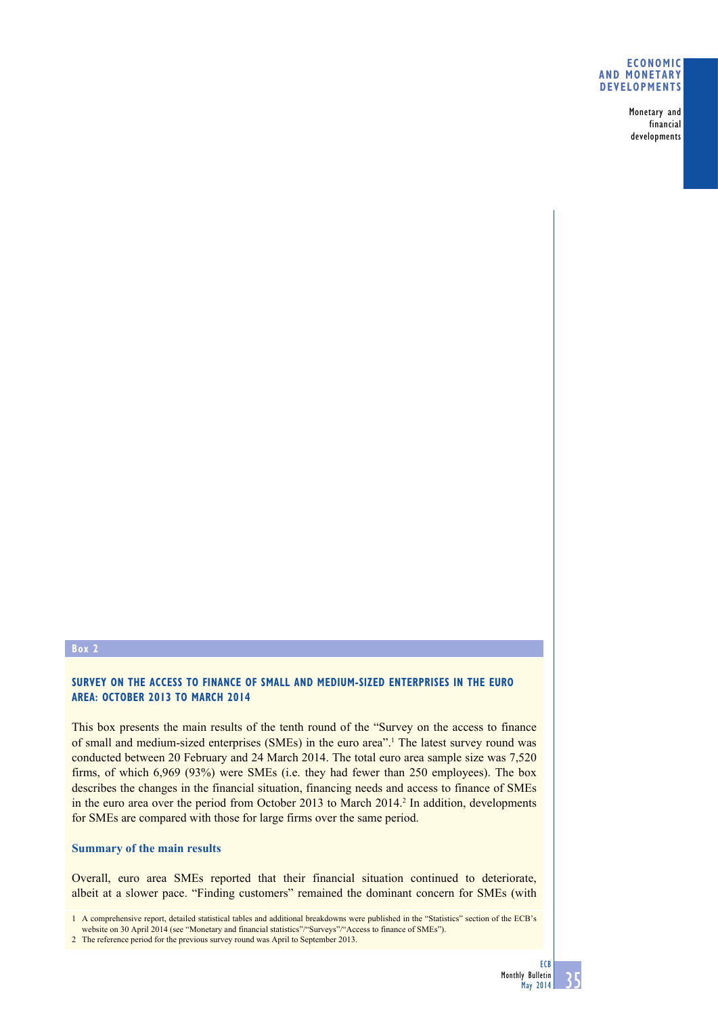#### **Economic and monetary developments**

Monetary and financial developments

# **Box 2**

## **Survey on the access to finance of small and medium-sized enterprises in the euro area: October 2013 to March 2014**

This box presents the main results of the tenth round of the "Survey on the access to finance of small and medium-sized enterprises (SMEs) in the euro area".<sup>1</sup> The latest survey round was conducted between 20 February and 24 March 2014. The total euro area sample size was 7,520 firms, of which 6,969 (93%) were SMEs (i.e. they had fewer than 250 employees). The box describes the changes in the financial situation, financing needs and access to finance of SMEs in the euro area over the period from October 2013 to March 2014.<sup>2</sup> In addition, developments for SMEs are compared with those for large firms over the same period.

### **Summary of the main results**

Overall, euro area SMEs reported that their financial situation continued to deteriorate, albeit at a slower pace. "Finding customers" remained the dominant concern for SMEs (with

1 A comprehensive report, detailed statistical tables and additional breakdowns were published in the "Statistics" section of the ECB's website on 30 April 2014 (see "Monetary and financial statistics"/"Surveys"/"Access to finance of SMEs").

<sup>2</sup> The reference period for the previous survey round was April to September 2013.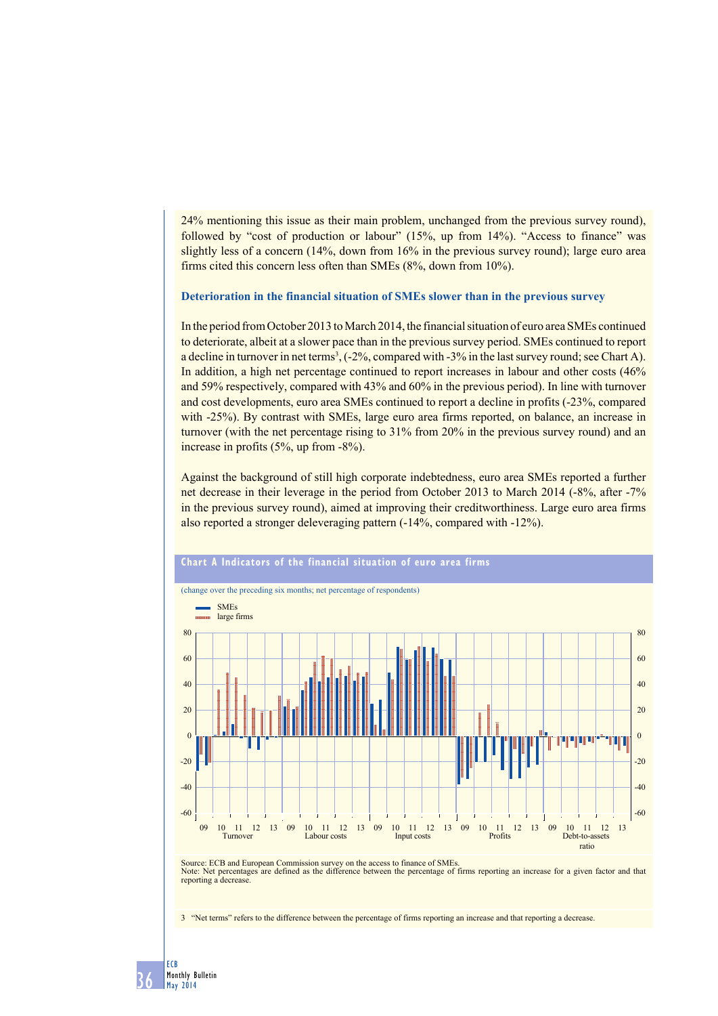24% mentioning this issue as their main problem, unchanged from the previous survey round), followed by "cost of production or labour" (15%, up from 14%). "Access to finance" was slightly less of a concern (14%, down from 16% in the previous survey round); large euro area firms cited this concern less often than SMEs (8%, down from 10%).

### **Deterioration in the financial situation of SMEs slower than in the previous survey**

In the period from October 2013 to March 2014, the financial situation of euro area SMEs continued to deteriorate, albeit at a slower pace than in the previous survey period. SMEs continued to report a decline in turnover in net terms<sup>3</sup>,  $(-2\%$ , compared with  $-3\%$  in the last survey round; see Chart A). In addition, a high net percentage continued to report increases in labour and other costs (46% and 59% respectively, compared with 43% and 60% in the previous period). In line with turnover and cost developments, euro area SMEs continued to report a decline in profits (-23%, compared with -25%). By contrast with SMEs, large euro area firms reported, on balance, an increase in turnover (with the net percentage rising to 31% from 20% in the previous survey round) and an increase in profits (5%, up from -8%).

Against the background of still high corporate indebtedness, euro area SMEs reported a further net decrease in their leverage in the period from October 2013 to March 2014 (-8%, after -7% in the previous survey round), aimed at improving their creditworthiness. Large euro area firms also reported a stronger deleveraging pattern (-14%, compared with -12%).



Source: ECB and European Commission survey on the access to finance of SMEs. Note: Net percentages are defined as the difference between the percentage of firms reporting an increase for a given factor and that reporting a decrease.

3 "Net terms" refers to the difference between the percentage of firms reporting an increase and that reporting a decrease.

36 ECB Monthly Bulletin May 2014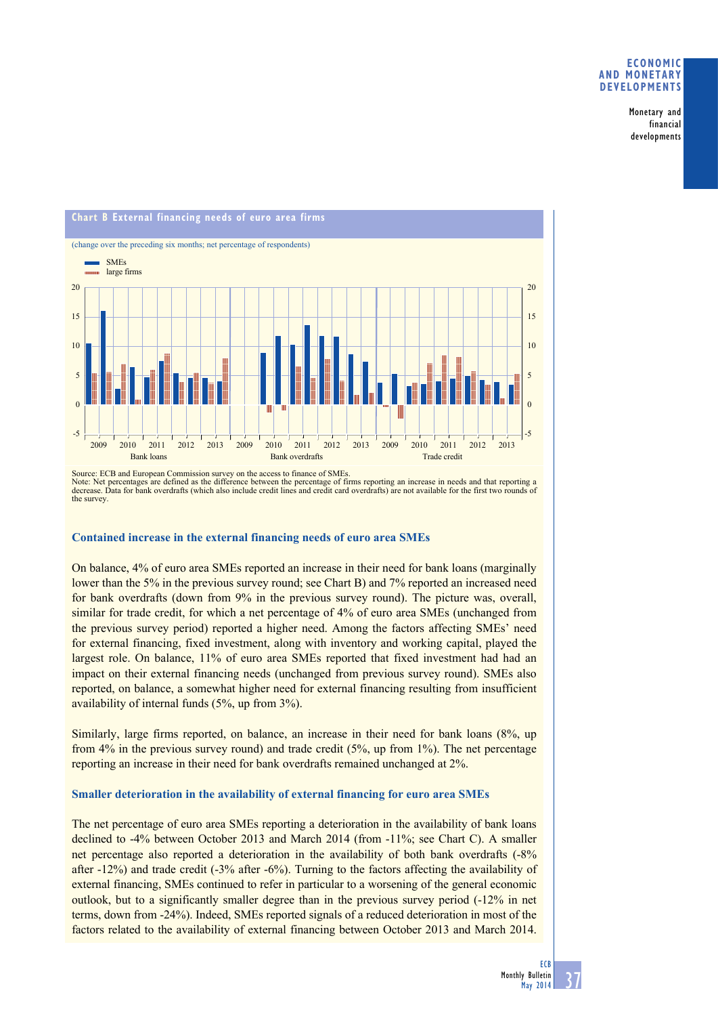### **Economic and monetary developments**

Monetary and financial developments



Source: ECB and European Commission survey on the access to finance of SMEs. Note: Net percentages are defined as the difference between the percentage of firms reporting an increase in needs and that reporting a<br>decrease. Data for bank overdrafts (which also include credit lines and credit card ov the survey.

## **Contained increase in the external financing needs of euro area SMEs**

On balance, 4% of euro area SMEs reported an increase in their need for bank loans (marginally lower than the 5% in the previous survey round; see Chart B) and 7% reported an increased need for bank overdrafts (down from 9% in the previous survey round). The picture was, overall, similar for trade credit, for which a net percentage of 4% of euro area SMEs (unchanged from the previous survey period) reported a higher need. Among the factors affecting SMEs' need for external financing, fixed investment, along with inventory and working capital, played the largest role. On balance, 11% of euro area SMEs reported that fixed investment had had an impact on their external financing needs (unchanged from previous survey round). SMEs also reported, on balance, a somewhat higher need for external financing resulting from insufficient availability of internal funds (5%, up from 3%).

Similarly, large firms reported, on balance, an increase in their need for bank loans (8%, up from 4% in the previous survey round) and trade credit (5%, up from 1%). The net percentage reporting an increase in their need for bank overdrafts remained unchanged at 2%.

## **Smaller deterioration in the availability of external financing for euro area SMEs**

The net percentage of euro area SMEs reporting a deterioration in the availability of bank loans declined to -4% between October 2013 and March 2014 (from -11%; see Chart C). A smaller net percentage also reported a deterioration in the availability of both bank overdrafts (-8% after -12%) and trade credit (-3% after -6%). Turning to the factors affecting the availability of external financing, SMEs continued to refer in particular to a worsening of the general economic outlook, but to a significantly smaller degree than in the previous survey period (-12% in net terms, down from -24%). Indeed, SMEs reported signals of a reduced deterioration in most of the factors related to the availability of external financing between October 2013 and March 2014.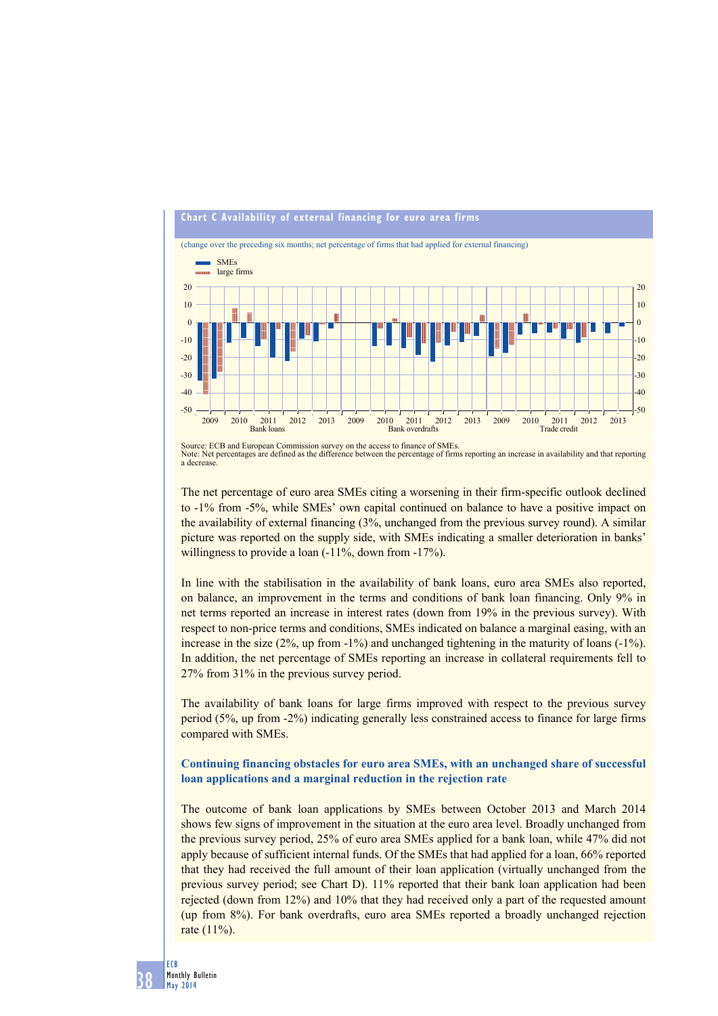

Source: ECB and European Commission survey on the access to finance of SMEs. Note: Net percentages are defined as the difference between the percentage of firms reporting an increase in availability and that reporting a decrease.

The net percentage of euro area SMEs citing a worsening in their firm-specific outlook declined to -1% from -5%, while SMEs' own capital continued on balance to have a positive impact on the availability of external financing (3%, unchanged from the previous survey round). A similar picture was reported on the supply side, with SMEs indicating a smaller deterioration in banks' willingness to provide a loan  $(-11\%$ , down from  $-17\%$ ).

In line with the stabilisation in the availability of bank loans, euro area SMEs also reported, on balance, an improvement in the terms and conditions of bank loan financing. Only 9% in net terms reported an increase in interest rates (down from 19% in the previous survey). With respect to non-price terms and conditions, SMEs indicated on balance a marginal easing, with an increase in the size (2%, up from -1%) and unchanged tightening in the maturity of loans (-1%). In addition, the net percentage of SMEs reporting an increase in collateral requirements fell to 27% from 31% in the previous survey period.

The availability of bank loans for large firms improved with respect to the previous survey period (5%, up from -2%) indicating generally less constrained access to finance for large firms compared with SMEs.

# **Continuing financing obstacles for euro area SMEs, with an unchanged share of successful loan applications and a marginal reduction in the rejection rate**

The outcome of bank loan applications by SMEs between October 2013 and March 2014 shows few signs of improvement in the situation at the euro area level. Broadly unchanged from the previous survey period, 25% of euro area SMEs applied for a bank loan, while 47% did not apply because of sufficient internal funds. Of the SMEs that had applied for a loan, 66% reported that they had received the full amount of their loan application (virtually unchanged from the previous survey period; see Chart D). 11% reported that their bank loan application had been rejected (down from 12%) and 10% that they had received only a part of the requested amount (up from 8%). For bank overdrafts, euro area SMEs reported a broadly unchanged rejection rate (11%).